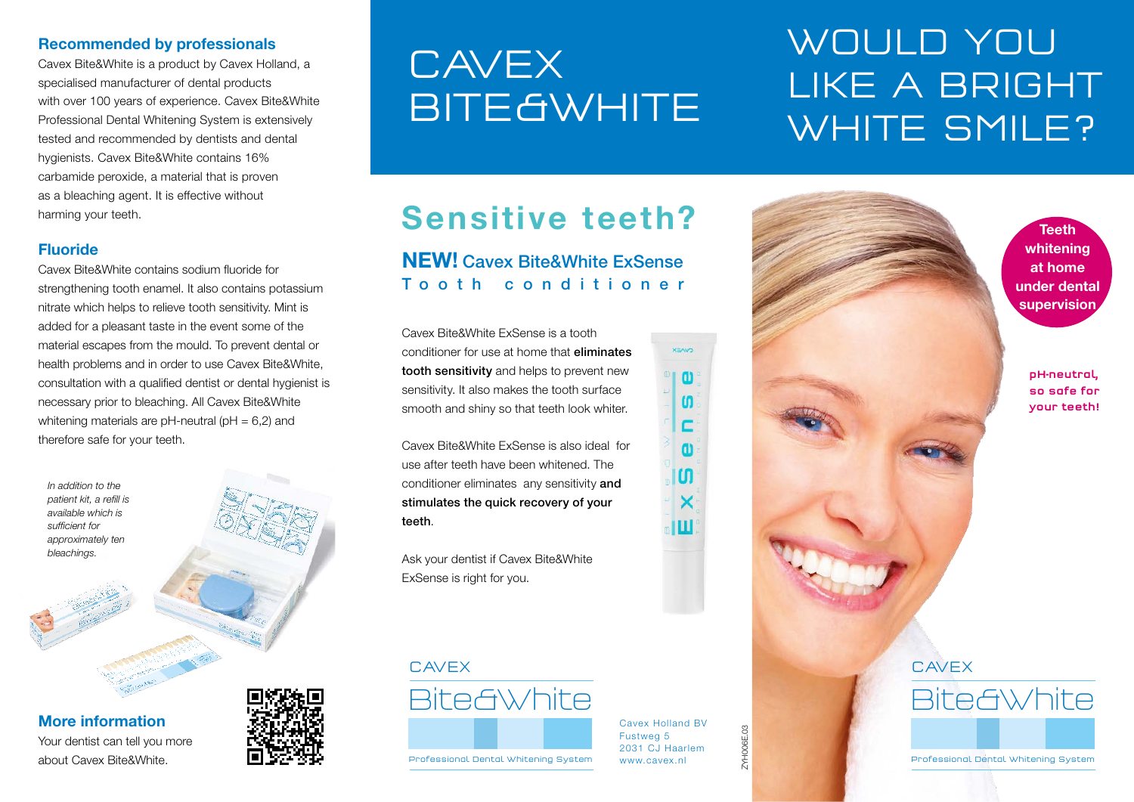#### Recommended by professionals

Cavex Bite&White is a product by Cavex Holland, a specialised manufacturer of dental products with over 100 years of experience. Cavex Bite&White Professional Dental Whitening System is extensively tested and recommended by dentists and dental hygienists. Cavex Bite&White contains 16% carbamide peroxide, a material that is proven as a bleaching agent. It is effective without harming your teeth.

### Fluoride

Cavex Bite&White contains sodium fluoride for strengthening tooth enamel. It also contains potassium nitrate which helps to relieve tooth sensitivity. Mint is added for a pleasant taste in the event some of the material escapes from the mould. To prevent dental or health problems and in order to use Cavex Bite&White, consultation with a qualified dentist or dental hygienist is necessary prior to bleaching. All Cavex Bite&White whitening materials are  $pH$ -neutral ( $pH = 6.2$ ) and therefore safe for your teeth.

*In addition to the patient kit, a refill is available which is sufficient for approximately ten bleachings.*

More information Your dentist can tell you more about Cavex Bite&White.



# **CAVEX BITE GWHITE**

# WOULD YOU LIKE A BRIGHT WHITE SMILE?

## Sensitive teeth?

### NEW! Cavex Bite&White ExSense Tooth conditioner

Cavex Bite&White ExSense is a tooth conditioner for use at home that eliminates tooth sensitivity and helps to prevent new sensitivity. It also makes the tooth surface smooth and shiny so that teeth look whiter.

Cavex Bite&White ExSense is also ideal for use after teeth have been whitened. The conditioner eliminates any sensitivity and stimulates the quick recovery of your teeth.

Ask your dentist if Cavex Bite&White ExSense is right for you.

### CAVEX





Cavex Holland BV Fustweg 5 2031 CJ Haarlem www.cavex.nl

**XEAVO** 

 $\omega$  $\mathbf{f}$ c  $\mathbf{u}$  $\mathbf{f}$  $\times$ Ш

ZYH006E.03

ZYHOOBE.03



Teeth whitening at home under dental supervision

> pH-neutral, so safe for your teeth!